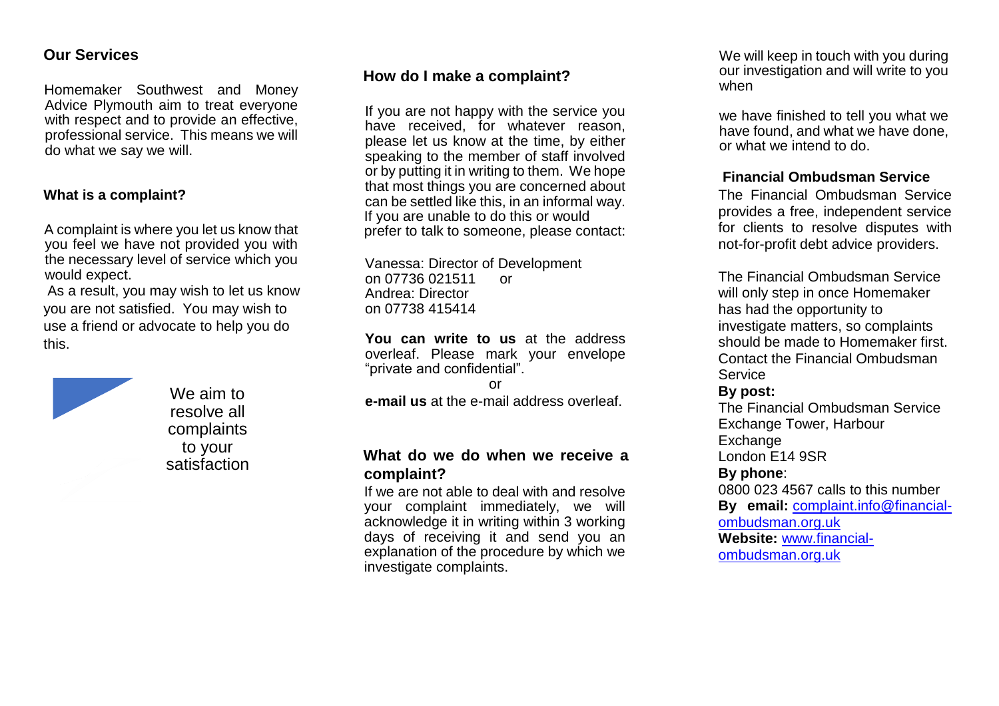## **Our Services**

Homemaker Southwest and Money Advice Plymouth aim to treat everyone with respect and to provide an effective, professional service. This means we will do what we say we will.

## **What is a complaint?**

A complaint is where you let us know that you feel we have not provided you with the necessary level of service which you would expect.

As a result, you may wish to let us know you are not satisfied. You may wish to use a friend or advocate to help you do this.



We aim to resolve all complaints to your satisfaction

# **How do I make a complaint?**

If you are not happy with the service you have received, for whatever reason, please let us know at the time, by either speaking to the member of staff involved or by putting it in writing to them. We hope that most things you are concerned about can be settled like this, in an informal way. If you are unable to do this or would prefer to talk to someone, please contact:

Vanessa: Director of Development on 07736 021511 or Andrea: Director on 07738 415414

**You can write to us** at the address overleaf. Please mark your envelope "private and confidential".

or

**e-mail us** at the e-mail address overleaf.

# **What do we do when we receive a complaint?**

If we are not able to deal with and resolve your complaint immediately, we will acknowledge it in writing within 3 working days of receiving it and send you an explanation of the procedure by which we investigate complaints.

We will keep in touch with you during our investigation and will write to you when

we have finished to tell you what we have found, and what we have done, or what we intend to do.

## **Financial Ombudsman Service**

The Financial Ombudsman Service provides a free, independent service for clients to resolve disputes with not-for-profit debt advice providers.

The Financial Ombudsman Service will only step in once Homemaker has had the opportunity to investigate matters, so complaints should be made to Homemaker first. Contact the Financial Ombudsman **Service** 

#### **By post:**

The Financial Ombudsman Service Exchange Tower, Harbour **Exchange** London E14 9SR

#### **By phone**:

0800 023 4567 calls to this number **By email:** [complaint.info@financial](mailto:complaint.info@financial-ombudsman.org.uk)[ombudsman.org.uk](mailto:complaint.info@financial-ombudsman.org.uk)

**Website:** [www.financial](http://www.financial-ombudsman.org.uk/)[ombudsman.org.uk](http://www.financial-ombudsman.org.uk/)